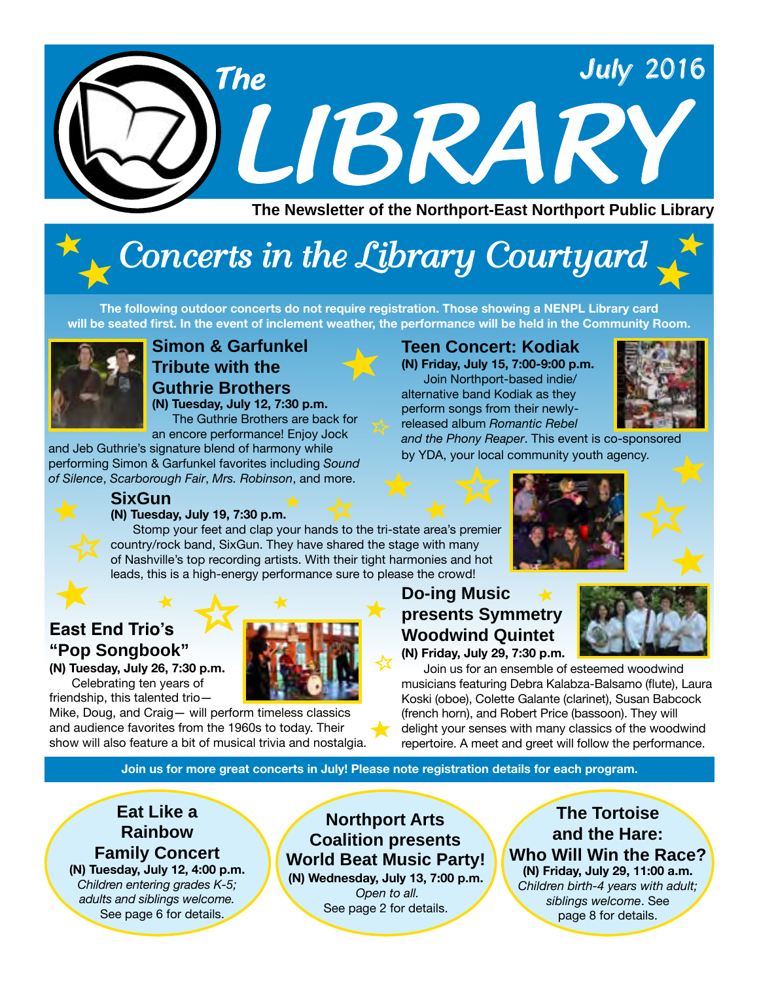

# *Concerts in the Library Courtyard*

**The following outdoor concerts do not require registration. Those showing a NENPL Library card will be seated first. In the event of inclement weather, the performance will be held in the Community Room.** 



### **Simon & Garfunkel Tribute with the Guthrie Brothers (N) Tuesday, July 12, 7:30 p.m.**

The Guthrie Brothers are back for an encore performance! Enjoy Jock

and Jeb Guthrie's signature blend of harmony while performing Simon & Garfunkel favorites including *Sound of Silence*, *Scarborough Fair*, *Mrs. Robinson*, and more.



## **SixGun**

**(N) Tuesday, July 19, 7:30 p.m.**  Stomp your feet and clap your hands to the tri-state area's premier country/rock band, SixGun. They have shared the stage with many of Nashville's top recording artists. With their tight harmonies and hot leads, this is a high-energy performance sure to please the crowd!

## **East End Trio's "Pop Songbook"**

**(N) Tuesday, July 26, 7:30 p.m.**  Celebrating ten years of



friendship, this talented trio— Mike, Doug, and Craig— will perform timeless classics and audience favorites from the 1960s to today. Their show will also feature a bit of musical trivia and nostalgia.

## **Teen Concert: Kodiak**

**(N) Friday, July 15, 7:00-9:00 p.m.** Join Northport-based indie/ alternative band Kodiak as they perform songs from their newlyreleased album *Romantic Rebel* 



*and the Phony Reaper*. This event is co-sponsored by YDA, your local community youth agency.



## **Do-ing Music presents Symmetry Woodwind Quintet**

**(N) Friday, July 29, 7:30 p.m.**

Join us for an ensemble of esteemed woodwind musicians featuring Debra Kalabza-Balsamo (flute), Laura Koski (oboe), Colette Galante (clarinet), Susan Babcock (french horn), and Robert Price (bassoon). They will delight your senses with many classics of the woodwind repertoire. A meet and greet will follow the performance.

**Join us for more great concerts in July! Please note registration details for each program.** 

### **Eat Like a Rainbow Family Concert (N) Tuesday, July 12, 4:00 p.m.** *Children entering grades K-5;*

*adults and siblings welcome.* See page 6 for details.

#### **Northport Arts Coalition presents World Beat Music Party! (N) Wednesday, July 13, 7:00 p.m.**  *Open to all.*  See page 2 for details.

**The Tortoise and the Hare: Who Will Win the Race? (N) Friday, July 29, 11:00 a.m.** *Children birth-4 years with adult; siblings welcome*. See page 8 for details.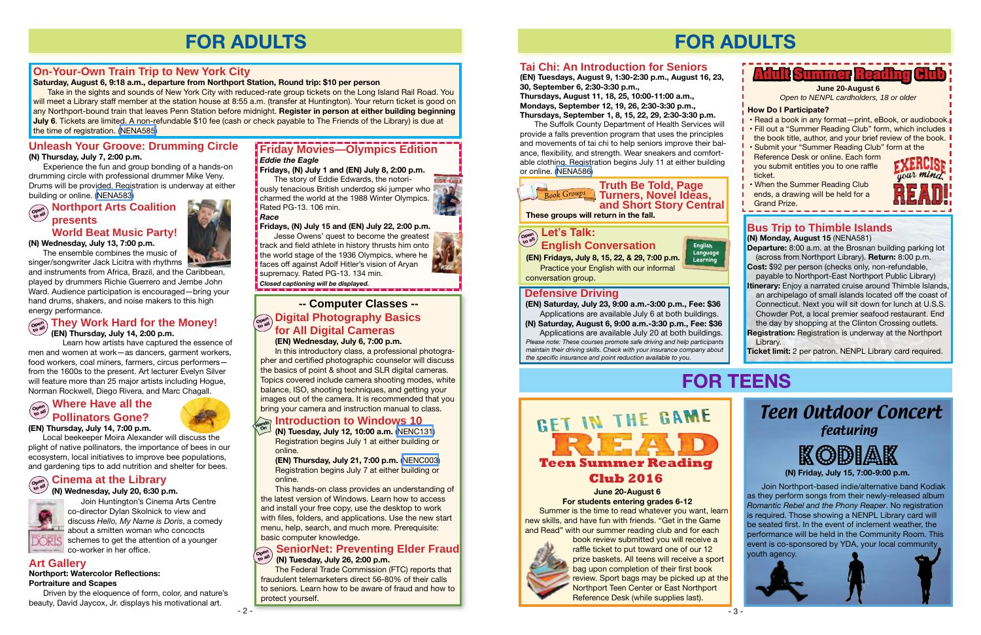## **World Beat Music Party!**

**(N) Wednesday, July 13, 7:00 p.m.**

The ensemble combines the music of

singer/songwriter Jack Licitra with rhythms and instruments from Africa, Brazil, and the Caribbean, played by drummers Richie Guerrero and Jembe John Ward. Audience participation is encouraged—bring your hand drums, shakers, and noise makers to this high energy performance.

- 2 -

## **FOR ADULTS**

**(N) Tuesday, July 12, 10:00 a.m.** ([NENC131](http://alpha1.suffolk.lib.ny.us/record%3Dg1040832~S43)) Registration begins July 1 at either building or online.

**(EN) Thursday, July 21, 7:00 p.m.** [\(NENC003\)](http://alpha1.suffolk.lib.ny.us/record%3Dg1061941~S43) Registration begins July 7 at either building or online.

This hands-on class provides an understanding of the latest version of Windows. Learn how to access and install your free copy, use the desktop to work with files, folders, and applications. Use the new start menu, help, search, and much more. Prerequisite: basic computer knowledge.

#### **Introduction to Windows 10 Hands On**

The Federal Trade Commission (FTC) reports that fraudulent telemarketers direct 56-80% of their calls to seniors. Learn how to be aware of fraud and how to protect yourself.

In this introductory class, a professional photographer and certified photographic counselor will discuss the basics of point & shoot and SLR digital cameras. Topics covered include camera shooting modes, white balance, ISO, shooting techniques, and getting your images out of the camera. It is recommended that you bring your camera and instruction manual to class.

**Northport Arts Coalition presents Open to all**

## **On-Your-Own Train Trip to New York City**

#### **Saturday, August 6, 9:18 a.m., departure from Northport Station, Round trip: \$10 per person**

Take in the sights and sounds of New York City with reduced-rate group tickets on the Long Island Rail Road. You will meet a Library staff member at the station house at 8:55 a.m. (transfer at Huntington). Your return ticket is good on any Northport-bound train that leaves Penn Station before midnight. **Register in person at either building beginning July 6**. Tickets are limited. A non-refundable \$10 fee (cash or check payable to The Friends of the Library) is due at the time of registration. ([NENA585\)](http://alpha1.suffolk.lib.ny.us/record%3Dg1064447~S43)

> The story of Eddie Edwards, the notori-**CONTRACT** ously tenacious British underdog ski jumper who charmed the world at the 1988 Winter Olympics. Rated PG-13. 106 min.

**(EN) Wednesday, July 6, 7:00 p.m.**

Jesse Owens' quest to become the greatest track and field athlete in history thrusts him onto the world stage of the 1936 Olympics, where he faces off against Adolf Hitler's vision of Aryan supremacy. Rated PG-13. 134 min.

## **Unleash Your Groove: Drumming Circle**

#### **(N) Thursday, July 7, 2:00 p.m.**

Experience the fun and group bonding of a hands-on drumming circle with professional drummer Mike Veny. Drums will be provided. Registration is underway at either building or online. ([NENA583\)](http://alpha1.suffolk.lib.ny.us/record%3Dg1063740~S43)

## **Copen Let's Talk:**<br> **Copy**<br> **Copy Light Co**p **English Conversation**

#### **SeniorNet: Preventing Elder Fraud (N) Tuesday, July 26, 2:00 p.m. Open to all**

#### **They Work Hard for the Money! (EN) Thursday, July 14, 2:00 p.m. Open to all**

Learn how artists have captured the essence of men and women at work—as dancers, garment workers, food workers, coal miners, farmers, circus performers from the 1600s to the present. Art lecturer Evelyn Silver will feature more than 25 major artists including Hogue, Norman Rockwell, Diego Rivera, and Marc Chagall.

#### **-- Computer Classes -- Digital Photography Basics for All Digital Cameras Open to all**

#### **Where Have all the Pollinators Gone? (EN) Thursday, July 14, 7:00 p.m. Open to all**



Local beekeeper Moira Alexander will discuss the plight of native pollinators, the importance of bees in our ecosystem, local initiatives to improve bee populations, and gardening tips to add nutrition and shelter for bees.

#### **(N) Wednesday, July 20, 6:30 p.m.**

#### **Cinema at the Library Open to all**

Join Huntington's Cinema Arts Centre co-director Dylan Skolnick to view and discuss *Hello, My Name is Doris*, a comedy  $\blacksquare$  about a smitten woman who concocts schemes to get the attention of a younger



## **Friday Movies—Olympics Edition** *Eddie the Eagle*

#### **Fridays, (N) July 1 and (EN) July 8, 2:00 p.m.**

#### *Race*

**Fridays, (N) July 15 and (EN) July 22, 2:00 p.m.** 

*Closed captioning will be displayed.*

**Art Gallery**

#### **Northport: Watercolor Reflections: Portraiture and Scapes**

Driven by the eloquence of form, color, and nature's beauty, David Jaycox, Jr. displays his motivational art.

## **FOR ADULTS**

- 3 -



**These groups will return in the fall.**

### **Defensive Driving**

*Please note: These courses promote safe driving and help participants maintain their driving skills. Check with your insurance company about the specific insurance and point reduction available to you.* **(N) Saturday, August 6, 9:00 a.m.-3:30 p.m., Fee: \$36** Applications are available July 20 at both buildings.

**(EN) Saturday, July 23, 9:00 a.m.-3:00 p.m., Fee: \$36** Applications are available July 6 at both buildings.

**(EN) Fridays, July 8, 15, 22, & 29, 7:00 p.m.**

**English Language Learning**

Practice your English with our informal conversation group.



#### **June 20-August 6**

**For students entering grades 6-12** Summer is the time to read whatever you want, learn new skills, and have fun with friends. "Get in the Game and Read" with our summer reading club and for each



book review submitted you will receive a raffle ticket to put toward one of our 12 prize baskets. All teens will receive a sport bag upon completion of their first book review. Sport bags may be picked up at the Northport Teen Center or East Northport Reference Desk (while supplies last).





**(N) Friday, July 15, 7:00-9:00 p.m.**



Join Northport-based indie/alternative band Kodiak as they perform songs from their newly-released album *Romantic Rebel and the Phony Reaper*. No registration is required. Those showing a NENPL Library card will be seated first. In the event of inclement weather, the performance will be held in the Community Room. This event is co-sponsored by YDA, your local community youth agency.

## Teen Outdoor Concert featuring

## Kodiak



**(EN) Tuesdays, August 9, 1:30-2:30 p.m., August 16, 23, 30, September 6, 2:30-3:30 p.m.,** 

**Thursdays, August 11, 18, 25, 10:00-11:00 a.m., Mondays, September 12, 19, 26, 2:30-3:30 p.m., Thursdays, September 1, 8, 15, 22, 29, 2:30-3:30 p.m.** 

The Suffolk County Department of Health Services will provide a falls prevention program that uses the principles and movements of tai chi to help seniors improve their balance, flexibility, and strength. Wear sneakers and comfortable clothing. Registration begins July 11 at either building or online. ([NENA586](http://alpha1.suffolk.lib.ny.us/record%3Dg1064618~S43))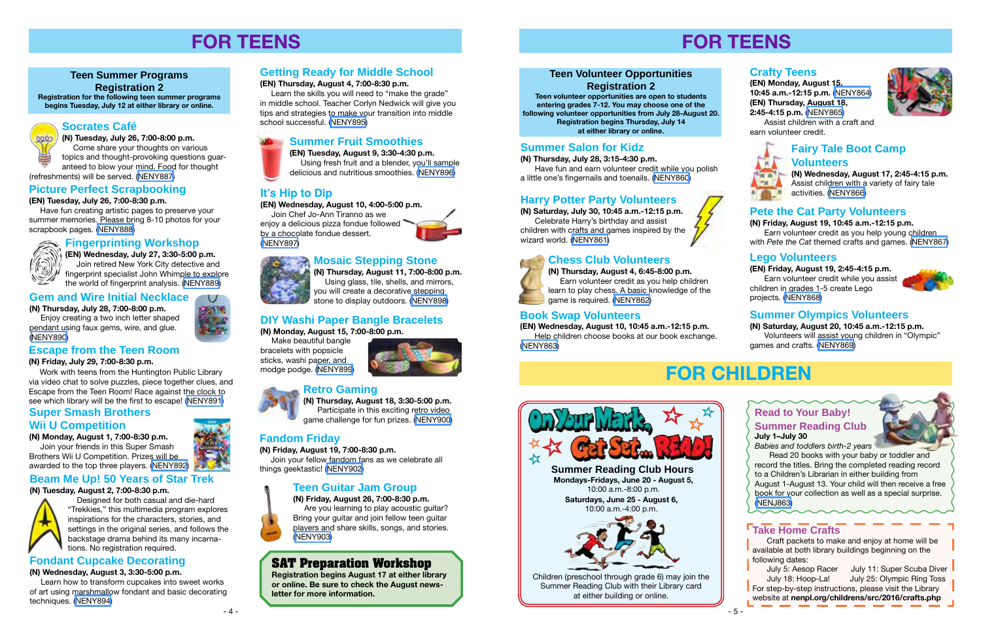## **FOR TEENS**

## **Getting Ready for Middle School**

#### **(EN) Thursday, August 4, 7:00-8:30 p.m.**

 Learn the skills you will need to "make the grade" in middle school. Teacher Corlyn Nedwick will give you tips and strategies to make your transition into middle school successful. [\(NENY895](http://alpha1.suffolk.lib.ny.us/record%3Dg1064621~S43))

## **Fandom Friday**

#### **(N) Friday, August 19, 7:00-8:30 p.m.**

 Join your fellow fandom fans as we celebrate all things geektastic! ([NENY902\)](http://alpha1.suffolk.lib.ny.us/record%3Dg1064653~S43)

## **Teen Guitar Jam Group**

**(N) Friday, August 26, 7:00-8:30 p.m.** Are you learning to play acoustic guitar? Bring your guitar and join fellow teen guitar players and share skills, songs, and stories. [\(NENY903](http://alpha1.suffolk.lib.ny.us/record%3Dg1064654~S43))

## **Escape from the Teen Room**

#### **(N) Friday, July 29, 7:00-8:30 p.m.**

Work with teens from the Huntington Public Library via video chat to solve puzzles, piece together clues, and Escape from the Teen Room! Race against the clock to see which library will be the first to escape! [\(NENY891\)](http://alpha1.suffolk.lib.ny.us/record%3Dg1064612~S43)

### **Fondant Cupcake Decorating**

**(N) Wednesday, August 3, 3:30-5:00 p.m.**

 Learn how to transform cupcakes into sweet works of art using marshmallow fondant and basic decorating techniques. [\(NENY894\)](http://alpha1.suffolk.lib.ny.us/record%3Dg1064620~S43)

**(N) Thursday, August 18, 3:30-5:00 p.m.** Participate in this exciting retro video **Super Smash Brothers Super Smash Brothers Super Smash Brothers Super Smash Brothers Super Smash Brothers Super Smash Brothers Super Smash Brothers Super Smash Brothers Super Smash Brothers Super Smalleng** 

## **Socrates Café**

**(N) Tuesday, July 26, 7:00-8:00 p.m.**

 Come share your thoughts on various topics and thought-provoking questions guaranteed to blow your mind. Food for thought

(refreshments) will be served. [\(NENY887\)](http://alpha1.suffolk.lib.ny.us/record%3Dg1064606~S43)

### **Picture Perfect Scrapbooking**

**(EN) Tuesday, July 26, 7:00-8:30 p.m.**

 Have fun creating artistic pages to preserve your summer memories. Please bring 8-10 photos for your scrapbook pages. [\(NENY888\)](http://alpha1.suffolk.lib.ny.us/record%3Dg1064608~S43)

## **Gem and Wire Initial Necklace**

**(N) Thursday, July 28, 7:00-8:00 p.m.** Enjoy creating a two inch letter shaped pendant using faux gems, wire, and glue.

 $\cup$ 

[\(NENY890](http://alpha1.suffolk.lib.ny.us/record%3Dg1064611~S43))

#### **Teen Summer Programs**

**Registration 2**

**Registration for the following teen summer programs begins Tuesday, July 12 at either library or online.**

## **Fingerprinting Workshop**

 $\widehat{\mathbb{G}})$ 

0000

**(EN) Wednesday, July 27, 3:30-5:00 p.m.** Join retired New York City detective and fingerprint specialist John Whimple to explore the world of fingerprint analysis. ([NENY889](http://alpha1.suffolk.lib.ny.us/record%3Dg1064610~S43))

## **It's Hip to Dip**

#### **(EN) Wednesday, August 10, 4:00-5:00 p.m.**

 Join Chef Jo-Ann Tiranno as we enjoy a delicious pizza fondue followed by a chocolate fondue dessert. ([NENY897](http://alpha1.suffolk.lib.ny.us/record%3Dg1064623~S43))



## **Retro Gaming**

#### **Wii U Competition**

#### **(N) Monday, August 1, 7:00-8:30 p.m.**

 Join your friends in this Super Smash Brothers Wii U Competition. Prizes will be awarded to the top three players. ([NENY892\)](http://alpha1.suffolk.lib.ny.us/record%3Dg1064613~S43)



## **Beam Me Up! 50 Years of Star Trek**

#### **(N) Tuesday, August 2, 7:00-8:30 p.m.**



Craft packets to make and enjoy at home will be available at both library buildings beginning on the following dates:<br>July 5: Aesop Racer

 Designed for both casual and die-hard "Trekkies," this multimedia program explores inspirations for the characters, stories, and settings in the original series, and follows the backstage drama behind its many incarnations. No registration required.

## **Summer Fruit Smoothies**

July 11: Super Scuba Diver July 18: Hoop-La! July 25: Olympic Ring Toss **For step-by-step instructions, please visit the Library** website at **nenpl.org/childrens/src/2016/crafts.php**

**(EN) Tuesday, August 9, 3:30-4:30 p.m.** Using fresh fruit and a blender, you'll sample delicious and nutritious smoothies. [\(NENY896\)](http://alpha1.suffolk.lib.ny.us/record%3Dg1064622~S43)

## **SAT Preparation Workshop**

**Registration begins August 17 at either library or online. Be sure to check the August newsletter for more information.**

### **Mosaic Stepping Stone**

**(N) Thursday, August 11, 7:00-8:00 p.m.** Using glass, tile, shells, and mirrors, you will create a decorative stepping stone to display outdoors. ([NENY898](http://alpha1.suffolk.lib.ny.us/record%3Dg1064624~S43))

## **DIY Washi Paper Bangle Bracelets**

**(N) Monday, August 15, 7:00-8:00 p.m.**







bracelets with popsicle sticks, washi paper, and modge podge. ([NENY899\)](http://alpha1.suffolk.lib.ny.us/record%3Dg1064651~S43)



## **FOR TEENS**

#### **Teen Volunteer Opportunities**

#### **Registration 2**

**Teen volunteer opportunities are open to students entering grades 7-12. You may choose one of the following volunteer opportunities from July 28-August 20. Registration begins Thursday, July 14 at either library or online.** 

## **Summer Salon for Kidz**

**(N) Thursday, July 28, 3:15-4:30 p.m.**

Have fun and earn volunteer credit while you polish a little one's fingernails and toenails. [\(NENY860\)](http://alpha1.suffolk.lib.ny.us/record%3Dg1064655~S43)

## **Chess Club Volunteers**



## **(N) Thursday, August 4, 6:45-8:00 p.m.** Earn volunteer credit as you help children

learn to play chess. A basic knowledge of the game is required. ([NENY862](http://alpha1.suffolk.lib.ny.us/record%3Dg1064667~S43))

### **Book Swap Volunteers**

**(EN) Wednesday, August 10, 10:45 a.m.-12:15 p.m.** Help children choose books at our book exchange. ([NENY863](http://alpha1.suffolk.lib.ny.us/record%3Dg1064678~S43))





## **Crafty Teens**

**(EN) Monday, August 15, 10:45 a.m.-12:15 p.m.** ([NENY864](http://alpha1.suffolk.lib.ny.us/record%3Dg1064679~S43)) **(EN) Thursday, August 18, 2:45-4:15 p.m.** [\(NENY865](http://alpha1.suffolk.lib.ny.us/record%3Dg1064680~S43))

Assist children with a craft and earn volunteer credit.



# **Pa** a  $-1$

## **Pete the Cat Party Volunteers**

**(N) Friday, August 19, 10:45 a.m.-12:15 p.m.** Earn volunteer credit as you help young children with *Pete the Cat* themed crafts and games. ([NENY867](http://alpha1.suffolk.lib.ny.us/record%3Dg1064682~S43))

## **Summer Olympics Volunteers**

**(N) Saturday, August 20, 10:45 a.m.-12:15 p.m.** Volunteers will assist young children in "Olympic" games and crafts. [\(NENY869](http://alpha1.suffolk.lib.ny.us/record%3Dg1064685~S43))

## **FOR CHILDREN**

### **Read to Your Baby! Summer Reading Club July 1–July 30**



*Babies and toddlers birth-2 years* Read 20 books with your baby or toddler and record the titles. Bring the completed reading record to a Children's Librarian in either building from August 1-August 13. Your child will then receive a free book for your collection as well as a special surprise.

[\(NENJ863](http://alpha1.suffolk.lib.ny.us/record%3Dg1064830~S43))

**Mondays-Fridays, June 20 - August 5,**  10:00 a.m.-8:00 p.m. **Summer Reading Club Hours**

**Saturdays, June 25 - August 6,** 10:00 a.m.-4:00 p.m.



Children (preschool through grade 6) may join the Summer Reading Club with their Library card at either building or online.

#### **Take Home Crafts**

### **Lego Volunteers**

**(EN) Friday, August 19, 2:45-4:15 p.m.** Earn volunteer credit while you assist children in grades 1-5 create Lego projects. ([NENY868](http://alpha1.suffolk.lib.ny.us/record%3Dg1064683~S43))



## **Harry Potter Party Volunteers**

**(N) Saturday, July 30, 10:45 a.m.-12:15 p.m.** Celebrate Harry's birthday and assist children with crafts and games inspired by the wizard world. [\(NENY861\)](http://alpha1.suffolk.lib.ny.us/record%3Dg1064663~S43)

## **Fairy Tale Boot Camp**

#### **Volunteers**

**(N) Wednesday, August 17, 2:45-4:15 p.m.** Assist children with a variety of fairy tale activities. ([NENY866](http://alpha1.suffolk.lib.ny.us/record%3Dg1064681~S43))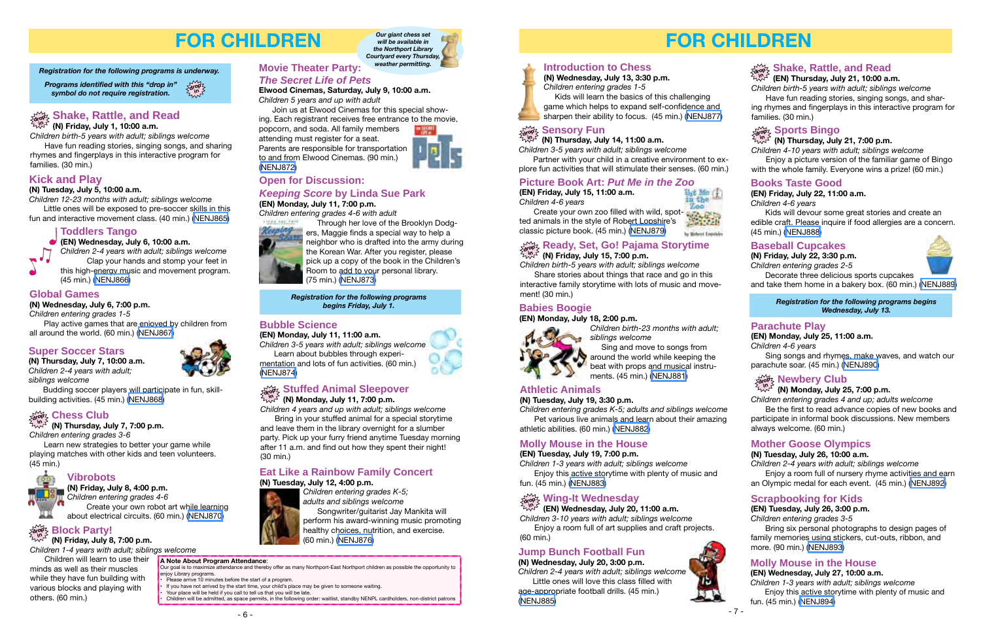## **FOR CHILDREN**

#### **Babies Boogie**

**(EN) Monday, July 18, 2:00 p.m.** *Children birth-23 months with adult;* 



*siblings welcome* Sing and move to songs from around the world while keeping the

beat with props and musical instruments. (45 min.) [\(NENJ881\)](http://alpha1.suffolk.lib.ny.us/record%3Dg1064036~S43)

### **Athletic Animals**

#### **(N) Tuesday, July 19, 3:30 p.m.**

*Children entering grades K-5; adults and siblings welcome* Pet various live animals and learn about their amazing athletic abilities. (60 min.) ([NENJ882\)](http://alpha1.suffolk.lib.ny.us/record%3Dg1064068~S43)

#### **Molly Mouse in the House**

#### **(EN) Tuesday, July 19, 7:00 p.m.**

*Children 1-3 years with adult; siblings welcome* Enjoy this active storytime with plenty of music and fun. (45 min.) ([NENJ883](http://alpha1.suffolk.lib.ny.us/record%3Dg1064037~S43))

**(EN) Wednesday, July 20, 11:00 a.m.**  *Children 3-10 years with adult; siblings welcome*

#### **Wing-It Wednesday drop in**

Enjoy a room full of art supplies and craft projects. (60 min.)

*Children birth-5 years with adult; siblings welcome*

#### **Ready, Set, Go! Pajama Storytime (N) Friday, July 15, 7:00 p.m. drop in**

Share stories about things that race and go in this interactive family storytime with lots of music and movement! (30 min.)

#### **Sensory Fun**

*Children 3-5 years with adult; siblings welcome*

**(N) Thursday, July 14, 11:00 a.m. drop in**

Partner with your child in a creative environment to explore fun activities that will stimulate their senses. (60 min.)

**Introduction to Chess**

**(N) Wednesday, July 13, 3:30 p.m.**  *Children entering grades 1-5*

 Kids will learn the basics of this challenging game which helps to expand self-confidence and sharpen their ability to focus. (45 min.) ([NENJ877](http://alpha1.suffolk.lib.ny.us/record%3Dg1064065~S43))

#### **Picture Book Art:** *Put Me in the Zoo*

**(EN) Friday, July 15, 11:00 a.m.**  *Children 4-6 years*

Create your own zoo filled with wild, spotted animals in the style of Robert Lopshire's classic picture book. (45 min.) ([NENJ879](http://alpha1.suffolk.lib.ny.us/record%3Dg1064035~S43))

# by Behert Legables

协。

#### **drop in Shake, Rattle, and Read (EN) Thursday, July 21, 10:00 a.m.**

*Children birth-5 years with adult; siblings welcome* Have fun reading stories, singing songs, and shar-

ing rhymes and fingerplays in this interactive program for families. (30 min.)

#### **(N) Thursday, July 21, 7:00 p.m.**

#### **Sports Bingo drop in**

*Children 4-10 years with adult; siblings welcome* Enjoy a picture version of the familiar game of Bingo with the whole family. Everyone wins a prize! (60 min.)

#### **Books Taste Good**

#### **(EN) Friday, July 22, 11:00 a.m.**

*Children 4-6 years*

Kids will devour some great stories and create an edible craft. Please inquire if food allergies are a concern. (45 min.) [\(NENJ888\)](http://alpha1.suffolk.lib.ny.us/record%3Dg1064042~S43)

## **Jump Bunch Football Fun**

**(N) Wednesday, July 20, 3:00 p.m.**

*Children 2-4 years with adult; siblings welcome* Little ones will love this class filled with age-appropriate football drills. (45 min.) [\(NENJ885\)](http://alpha1.suffolk.lib.ny.us/record%3Dg1064069~S43)





*Registration for the following programs begins Wednesday, July 13.* 

#### **Baseball Cupcakes**

**(N) Friday, July 22, 3:30 p.m.** *Children entering grades 2-5*



Decorate three delicious sports cupcakes and take them home in a bakery box. (60 min.) [\(NENJ889\)](http://alpha1.suffolk.lib.ny.us/record%3Dg1064071~S43)

#### **Parachute Play**

#### **(EN) Monday, July 25, 11:00 a.m.**

*Children 4-6 years*

Sing songs and rhymes, make waves, and watch our parachute soar. (45 min.) [\(NENJ890\)](http://alpha1.suffolk.lib.ny.us/record%3Dg1064046~S43)

## $\frac{1}{2}$  **Newbery Club**

#### **Mother Goose Olympics**

**(N) Tuesday, July 26, 10:00 a.m.** 

*Children 2-4 years with adult; siblings welcome* Enjoy a room full of nursery rhyme activities and earn an Olympic medal for each event. (45 min.) [\(NENJ892\)](http://alpha1.suffolk.lib.ny.us/record%3Dg1064073~S43)

#### **(N) Monday, July 25, 7:00 p.m.**

*Children entering grades 4 and up; adults welcome* Be the first to read advance copies of new books and participate in informal book discussions. New members

always welcome. (60 min.)

#### **Scrapbooking for Kids**

#### **(EN) Tuesday, July 26, 3:00 p.m.**

*Children entering grades 3-5*

Bring six personal photographs to design pages of family memories using stickers, cut-outs, ribbon, and more. (90 min.) ([NENJ893](http://alpha1.suffolk.lib.ny.us/record%3Dg1064047~S43))

#### **Molly Mouse in the House**

**(EN) Wednesday, July 27, 10:00 a.m.** *Children 1-3 years with adult; siblings welcome* Enjoy this active storytime with plenty of music and fun. (45 min.) [\(NENJ894\)](http://alpha1.suffolk.lib.ny.us/record%3Dg1064048~S43)

## **FOR CHILDREN**

#### *Registration for the following programs is underway.*

**drop in**

*Programs identified with this "drop in" symbol do not require registration.*

**A Note About Program Attendance**:

Our goal is to maximize attendance and thereby offer as many Northport-East Northport children as possible the opportunity to

If you have not arrived by the start time, your child's place may be given to someone waiting.

enjoy Library programs.



• Please arrive 10 minutes before the start of a program.

Your place will be held if you call to tell us that you will be late.

• Children will be admitted, as space permits, in the following order: waitlist, standby NENPL cardholders, non-district patrons

**(N) Friday, July 1, 10:00 a.m.** 

## **Shake, Rattle, and Read drop in**

*Children birth-5 years with adult; siblings welcome* Have fun reading stories, singing songs, and sharing rhymes and fingerplays in this interactive program for families. (30 min.)

#### **Kick and Play**

#### **(N) Tuesday, July 5, 10:00 a.m.**

*Children 12-23 months with adult; siblings welcome* Little ones will be exposed to pre-soccer skills in this

fun and interactive movement class. (40 min.) ([NENJ865\)](http://alpha1.suffolk.lib.ny.us/record%3Dg1064044~S43)

#### **Toddlers Tango**

#### **(EN) Wednesday, July 6, 10:00 a.m.** *Children 2-4 years with adult; siblings welcome*

Clap your hands and stomp your feet in this high-energy music and movement program. (45 min.) ([NENJ866\)](http://alpha1.suffolk.lib.ny.us/record%3Dg1064030~S43)

#### **Global Games**

**(N) Wednesday, July 6, 7:00 p.m.**

*Children entering grades 1-5*

Play active games that are enjoyed by children from all around the world. (60 min.) ([NENJ867\)](http://alpha1.suffolk.lib.ny.us/record%3Dg1064045~S43)

#### **Super Soccer Stars**

**(N) Thursday, July 7, 10:00 a.m.** *Children 2-4 years with adult; siblings welcome*

Budding soccer players will participate in fun, skillbuilding activities. (45 min.) ([NENJ868\)](http://alpha1.suffolk.lib.ny.us/record%3Dg1064059~S43)

#### **Vibrobots**

**(N) Friday, July 8, 4:00 p.m.** *Children entering grades 4-6*

Create your own robot art while learning about electrical circuits. (60 min.) ([NENJ870\)](http://alpha1.suffolk.lib.ny.us/record%3Dg1064061~S43)

## $\frac{1}{2}$  Block Party!

**(N) Friday, July 8, 7:00 p.m.** 

*Children 1-4 years with adult; siblings welcome*

Children will learn to use their minds as well as their muscles while they have fun building with various blocks and playing with others. (60 min.)

**Elwood Cinemas, Saturday, July 9, 10:00 a.m.**  *Children 5 years and up with adult*

Join us at Elwood Cinemas for this special show-

ing. Each registrant receives free entrance to the movie, popcorn, and soda. All family members

attending must register for a seat. Parents are responsible for transportation to and from Elwood Cinemas. (90 min.) ([NENJ872](http://alpha1.suffolk.lib.ny.us/record%3Dg1063526~S43))

**(N) Thursday, July 7, 7:00 p.m.** *Children entering grades 3-6*

#### **Chess Club drop in**

Learn new strategies to better your game while playing matches with other kids and teen volunteers. (45 min.)

**Open for Discussion:** 

#### *Keeping Score* **by Linda Sue Park**

### **(EN) Monday, July 11, 7:00 p.m.**

*Children entering grades 4-6 with adult*



 Through her love of the Brooklyn Dodg-**Regaing** ers, Maggie finds a special way to help a neighbor who is drafted into the army during the Korean War. After you register, please pick up a copy of the book in the Children's Room to add to your personal library. (75 min.) [\(NENJ873](http://alpha1.suffolk.lib.ny.us/record%3Dg1064031~S43))



*Registration for the following programs begins Friday, July 1.* 

#### **Bubble Science**

**(EN) Monday, July 11, 11:00 a.m.**

*Children 3-5 years with adult; siblings welcome* Learn about bubbles through experi-

mentation and lots of fun activities. (60 min.) ([NENJ874\)](http://alpha1.suffolk.lib.ny.us/record%3Dg1064034~S43)

#### $\mathbb{S}_{\mathrm{max}}$  Stuffed Animal Sleepover

#### $\sqrt[m]{2}$  (N) Monday, July 11, 7:00 p.m.

*Children 4 years and up with adult; siblings welcome* Bring in your stuffed animal for a special storytime

and leave them in the library overnight for a slumber party. Pick up your furry friend anytime Tuesday morning after 11 a.m. and find out how they spent their night! (30 min.)

#### **Eat Like a Rainbow Family Concert**

#### **(N) Tuesday, July 12, 4:00 p.m.**

*Children entering grades K-5; adults and siblings welcome* Songwriter/guitarist Jay Mankita will perform his award-winning music promoting healthy choices, nutrition, and exercise. (60 min.) ([NENJ876](http://alpha1.suffolk.lib.ny.us/record%3Dg1064064~S43))





*Our giant chess set will be available in the Northport Library*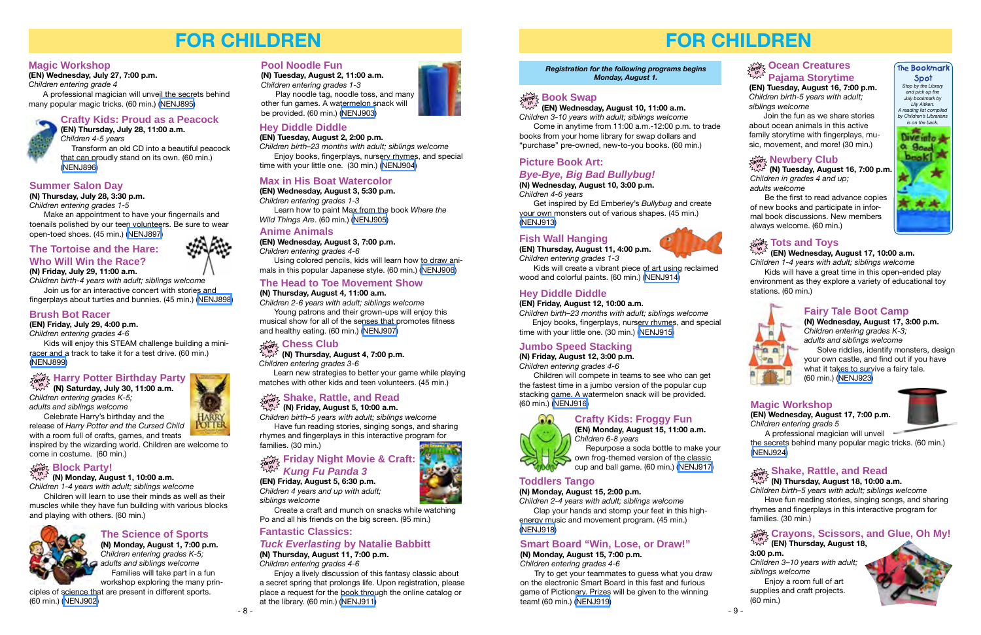

## **FOR CHILDREN**

#### **Magic Workshop**

**(EN) Wednesday, July 27, 7:00 p.m.** *Children entering grade 4*

A professional magician will unveil the secrets behind many popular magic tricks. (60 min.) ([NENJ895](http://alpha1.suffolk.lib.ny.us/record%3Dg1064049~S43))

## **Crafty Kids: Proud as a Peacock**



**(EN) Thursday, July 28, 11:00 a.m.**  *Children 4-5 years* Transform an old CD into a beautiful peacock that can proudly stand on its own. (60 min.) [\(NENJ896\)](http://alpha1.suffolk.lib.ny.us/record%3Dg1064050~S43)

#### **Summer Salon Day**

**(N) Thursday, July 28, 3:30 p.m.** 

*Children entering grades 1-5*

Make an appointment to have your fingernails and toenails polished by our teen volunteers. Be sure to wear open-toed shoes. (45 min.) [\(NENJ897](http://alpha1.suffolk.lib.ny.us/record%3Dg1064075~S43))

## **The Tortoise and the Hare: Who Will Win the Race?**

**(N) Friday, July 29, 11:00 a.m.**

*Children birth-4 years with adult; siblings welcome* Join us for an interactive concert with stories and

fingerplays about turtles and bunnies. (45 min.) ([NENJ898\)](http://alpha1.suffolk.lib.ny.us/record%3Dg1064074~S43)

### **Brush Bot Racer**

**(EN) Friday, July 29, 4:00 p.m.**

*Children entering grades 4-6*

Kids will enjoy this STEAM challenge building a miniracer and a track to take it for a test drive. (60 min.) [\(NENJ899\)](http://alpha1.suffolk.lib.ny.us/record%3Dg1064051~S43)

## **The Science of Sports**

**(N) Monday, August 1, 7:00 p.m.** *Children entering grades K-5; adults and siblings welcome* Families will take part in a fun workshop exploring the many prin-

ciples of science that are present in different sports. (60 min.) [\(NENJ902](http://alpha1.suffolk.lib.ny.us/record%3Dg1064078~S43))

#### **(N) Monday, August 1, 10:00 a.m.**

*Children 1-4 years with adult; siblings welcome*

#### **Block Party! drop in**

Children will learn to use their minds as well as their muscles while they have fun building with various blocks and playing with others. (60 min.)



**(N) Saturday, July 30, 11:00 a.m.**  *Children entering grades K-5; adults and siblings welcome*

#### **Harry Potter Birthday Party drop in**

Celebrate Harry's birthday and the release of *Harry Potter and the Cursed Child* with a room full of crafts, games, and treats

inspired by the wizarding world. Children are welcome to come in costume. (60 min.)

#### **Pool Noodle Fun**

**(N) Tuesday, August 2, 11:00 a.m.** *Children entering grades 1-3*

Play noodle tag, noodle toss, and many other fun games. A watermelon snack will be provided. (60 min.) [\(NENJ903\)](http://alpha1.suffolk.lib.ny.us/record%3Dg1064079~S43)

#### **Hey Diddle Diddle**

**(EN) Tuesday, August 2, 2:00 p.m.** 

*Children birth–23 months with adult; siblings welcome* Enjoy books, fingerplays, nursery rhymes, and special

time with your little one. (30 min.) [\(NENJ904\)](http://alpha1.suffolk.lib.ny.us/record%3Dg1064052~S43)

#### **Max in His Boat Watercolor**

**(EN) Wednesday, August 3, 5:30 p.m.** *Children entering grades 1-3* Learn how to paint Max from the book *Where the* 

*Wild Things Are*. (60 min.) ([NENJ905](http://alpha1.suffolk.lib.ny.us/record%3Dg1064053~S43))

#### **Anime Animals**

**(EN) Wednesday, August 3, 7:00 p.m.**

*Children entering grades 4-6*

Using colored pencils, kids will learn how to draw animals in this popular Japanese style. (60 min.) ([NENJ906](http://alpha1.suffolk.lib.ny.us/record%3Dg1064054~S43))

#### **The Head to Toe Movement Show**

**(N) Thursday, August 4, 11:00 a.m.**

*Children 2-6 years with adult; siblings welcome* Young patrons and their grown-ups will enjoy this musical show for all of the senses that promotes fitness and healthy eating. (60 min.) ([NENJ907](http://alpha1.suffolk.lib.ny.us/record%3Dg1064080~S43))

**(N) Thursday, August 4, 7:00 p.m.** *Children entering grades 3-6*

#### **Chess Club drop in**

Learn new strategies to better your game while playing matches with other kids and teen volunteers. (45 min.)

**(N) Friday, August 5, 10:00 a.m.** 

*Children birth–5 years with adult; siblings welcome* Have fun reading stories, singing songs, and sharing

#### **Shake, Rattle, and Read drop in**

rhymes and fingerplays in this interactive program for families. (30 min.)

#### **Fantastic Classics:**

#### *Tuck Everlasting* **by Natalie Babbitt**

**(N) Thursday, August 11, 7:00 p.m.** 

*Children entering grades 4-6*

Enjoy a lively discussion of this fantasy classic about a secret spring that prolongs life. Upon registration, please place a request for the book through the online catalog or at the library. (60 min.) ([NENJ911](http://alpha1.suffolk.lib.ny.us/record%3Dg1064083~S43))



**(EN) Friday, August 5, 6:30 p.m.** 

*Children 4 years and up with adult; siblings welcome*

#### **Friday Night Movie & Craft:**  *Kung Fu Panda 3* **drop in**

Create a craft and munch on snacks while watching Po and all his friends on the big screen. (95 min.)

# **FOR CHILDREN**

**(N) Tuesday, August 16, 7:00 p.m.**  *Children in grades 4 and up; adults welcome*

Be the first to read advance copies of new books and participate in informal book discussions. New members always welcome. (60 min.)

**(EN) Wednesday, August 17, 10:00 a.m.** *Children 1-4 years with adult; siblings welcome*

Kids will have a great time in this open-ended play environment as they explore a variety of educational toy stations. (60 min.)



**(EN) Wednesday, August 10, 11:00 a.m.** 

*Children 3-10 years with adult; siblings welcome* Come in anytime from 11:00 a.m.-12:00 p.m. to trade books from your home library for swap dollars and "purchase" pre-owned, new-to-you books. (60 min.)

#### **Picture Book Art:**

### *Bye-Bye, Big Bad Bullybug!*

**(N) Wednesday, August 10, 3:00 p.m.**  *Children 4-6 years*

Get inspired by Ed Emberley's *Bullybug* and create your own monsters out of various shapes. (45 min.) ([NENJ913](http://alpha1.suffolk.lib.ny.us/record%3Dg1064629~S43))

#### **Fish Wall Hanging**

**(EN) Thursday, August 11, 4:00 p.m.**  *Children entering grades 1-3* 

Kids will create a vibrant piece of art using reclaimed wood and colorful paints. (60 min.) [\(NENJ914](http://alpha1.suffolk.lib.ny.us/record%3Dg1064813~S43))

### **Hey Diddle Diddle**

#### **(EN) Friday, August 12, 10:00 a.m.**

*Children birth–23 months with adult; siblings welcome* Enjoy books, fingerplays, nursery rhymes, and special time with your little one. (30 min.) ([NENJ915](http://alpha1.suffolk.lib.ny.us/record%3Dg1064816~S43))

### **Jumbo Speed Stacking**

**(N) Friday, August 12, 3:00 p.m.**  *Children entering grades 4-6* 

Children will compete in teams to see who can get the fastest time in a jumbo version of the popular cup stacking game. A watermelon snack will be provided. (60 min.) ([NENJ916](http://alpha1.suffolk.lib.ny.us/record%3Dg1064630~S43))

## **Crafty Kids: Froggy Fun**



 Repurpose a soda bottle to make your own frog-themed version of the classic cup and ball game. (60 min.) [\(NENJ917](http://alpha1.suffolk.lib.ny.us/record%3Dg1064819~S43))

#### **Toddlers Tango**

#### **(N) Monday, August 15, 2:00 p.m.**

*Children 2-4 years with adult; siblings welcome*  Clap your hands and stomp your feet in this highenergy music and movement program. (45 min.) ([NENJ918](http://alpha1.suffolk.lib.ny.us/record%3Dg1064632~S43))

#### **Smart Board "Win, Lose, or Draw!"**

**(N) Monday, August 15, 7:00 p.m.**  *Children entering grades 4-6* 

Try to get your teammates to guess what you draw on the electronic Smart Board in this fast and furious game of Pictionary. Prizes will be given to the winning team! (60 min.) ([NENJ919](http://alpha1.suffolk.lib.ny.us/record%3Dg1064635~S43))



**(EN) Tuesday, August 16, 7:00 p.m.**  *Children birth-5 years with adult; siblings welcome* 



Join the fun as we share stories about ocean animals in this active family storytime with fingerplays, music, movement, and more! (30 min.)

## $\sum\limits_{n,m=1}^{\infty}$  **Newbery Club**

*Registration for the following programs begins Monday, August 1.* 

## $\lim_{n \to \infty}$  **Book Swap**

*Children 3–10 years with adult; siblings welcome*

**Crayons, Scissors, and Glue, Oh My! (EN) Thursday, August 18, 3:00 p.m. drop in**

Enjoy a room full of art supplies and craft projects. (60 min.)



**(N) Thursday, August 18, 10:00 a.m.**  *Children birth–5 years with adult; siblings welcome*

#### **Shake, Rattle, and Read drop in**

Have fun reading stories, singing songs, and sharing rhymes and fingerplays in this interactive program for families. (30 min.)

### **Fairy Tale Boot Camp**

**(N) Wednesday, August 17, 3:00 p.m.**  *Children entering grades K-3; adults and siblings welcome*

 Solve riddles, identify monsters, design your own castle, and find out if you have what it takes to survive a fairy tale. (60 min.) ([NENJ923\)](http://alpha1.suffolk.lib.ny.us/record%3Dg1064638~S43)

#### **Magic Workshop**

**(EN) Wednesday, August 17, 7:00 p.m.**  *Children entering grade 5* 

A professional magician will unveil

the secrets behind many popular magic tricks. (60 min.) [\(NENJ924\)](http://alpha1.suffolk.lib.ny.us/record%3Dg1064826~S43)



## $\frac{1}{\text{div}\, \text{div}\, S}$  Tots and Toys